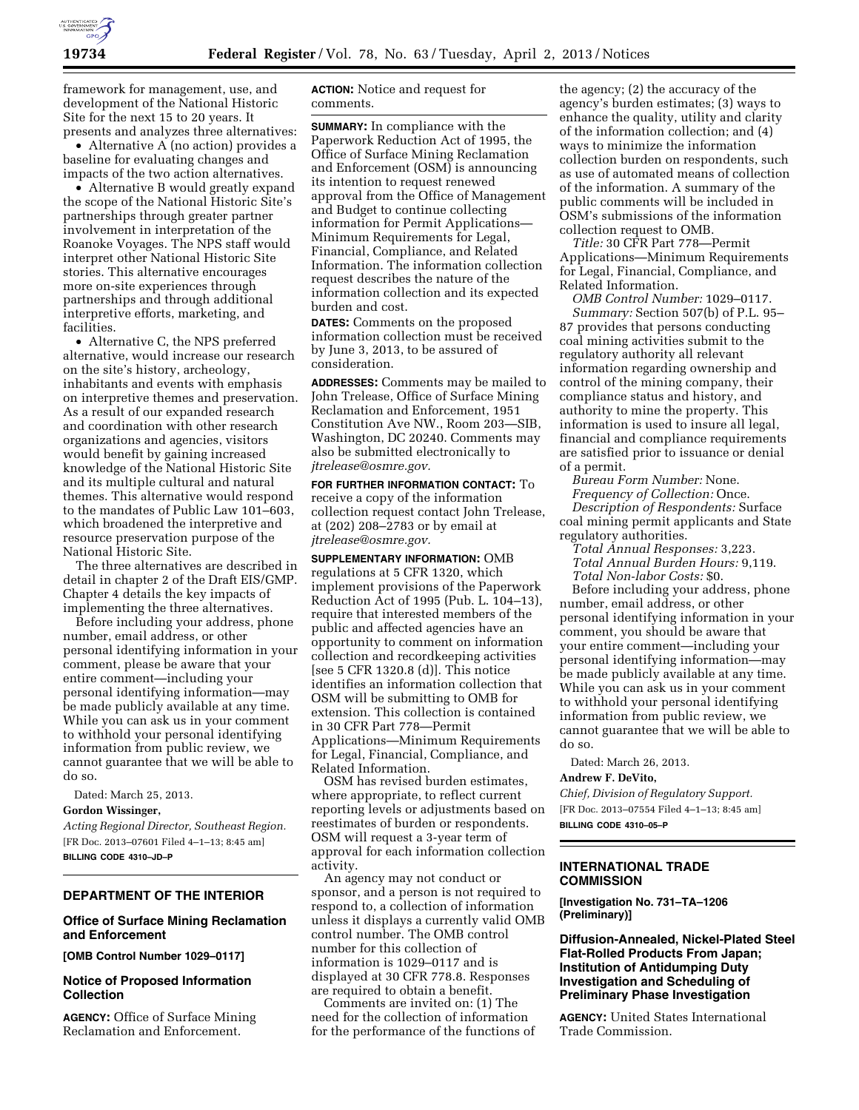

framework for management, use, and development of the National Historic Site for the next 15 to 20 years. It presents and analyzes three alternatives:

• Alternative A (no action) provides a baseline for evaluating changes and impacts of the two action alternatives.

• Alternative B would greatly expand the scope of the National Historic Site's partnerships through greater partner involvement in interpretation of the Roanoke Voyages. The NPS staff would interpret other National Historic Site stories. This alternative encourages more on-site experiences through partnerships and through additional interpretive efforts, marketing, and facilities.

• Alternative C, the NPS preferred alternative, would increase our research on the site's history, archeology, inhabitants and events with emphasis on interpretive themes and preservation. As a result of our expanded research and coordination with other research organizations and agencies, visitors would benefit by gaining increased knowledge of the National Historic Site and its multiple cultural and natural themes. This alternative would respond to the mandates of Public Law 101–603, which broadened the interpretive and resource preservation purpose of the National Historic Site.

The three alternatives are described in detail in chapter 2 of the Draft EIS/GMP. Chapter 4 details the key impacts of implementing the three alternatives.

Before including your address, phone number, email address, or other personal identifying information in your comment, please be aware that your entire comment—including your personal identifying information—may be made publicly available at any time. While you can ask us in your comment to withhold your personal identifying information from public review, we cannot guarantee that we will be able to do so.

Dated: March 25, 2013.

## **Gordon Wissinger,**

*Acting Regional Director, Southeast Region.*  [FR Doc. 2013–07601 Filed 4–1–13; 8:45 am] **BILLING CODE 4310–JD–P** 

## **DEPARTMENT OF THE INTERIOR**

## **Office of Surface Mining Reclamation and Enforcement**

**[OMB Control Number 1029–0117]** 

# **Notice of Proposed Information Collection**

**AGENCY:** Office of Surface Mining Reclamation and Enforcement.

**ACTION:** Notice and request for comments.

**SUMMARY:** In compliance with the Paperwork Reduction Act of 1995, the Office of Surface Mining Reclamation and Enforcement (OSM) is announcing its intention to request renewed approval from the Office of Management and Budget to continue collecting information for Permit Applications— Minimum Requirements for Legal, Financial, Compliance, and Related Information. The information collection request describes the nature of the information collection and its expected burden and cost.

**DATES:** Comments on the proposed information collection must be received by June 3, 2013, to be assured of consideration.

**ADDRESSES:** Comments may be mailed to John Trelease, Office of Surface Mining Reclamation and Enforcement, 1951 Constitution Ave NW., Room 203—SIB, Washington, DC 20240. Comments may also be submitted electronically to *[jtrelease@osmre.gov.](mailto:jtrelease@osmre.gov)* 

**FOR FURTHER INFORMATION CONTACT:** To receive a copy of the information collection request contact John Trelease, at (202) 208–2783 or by email at *[jtrelease@osmre.gov.](mailto:jtrelease@osmre.gov)* 

**SUPPLEMENTARY INFORMATION:** OMB regulations at 5 CFR 1320, which implement provisions of the Paperwork Reduction Act of 1995 (Pub. L. 104–13), require that interested members of the public and affected agencies have an opportunity to comment on information collection and recordkeeping activities [see 5 CFR 1320.8 (d)]. This notice identifies an information collection that OSM will be submitting to OMB for extension. This collection is contained in 30 CFR Part 778—Permit Applications—Minimum Requirements for Legal, Financial, Compliance, and Related Information.

OSM has revised burden estimates, where appropriate, to reflect current reporting levels or adjustments based on reestimates of burden or respondents. OSM will request a 3-year term of approval for each information collection activity.

An agency may not conduct or sponsor, and a person is not required to respond to, a collection of information unless it displays a currently valid OMB control number. The OMB control number for this collection of information is 1029–0117 and is displayed at 30 CFR 778.8. Responses are required to obtain a benefit.

Comments are invited on: (1) The need for the collection of information for the performance of the functions of

the agency; (2) the accuracy of the agency's burden estimates; (3) ways to enhance the quality, utility and clarity of the information collection; and (4) ways to minimize the information collection burden on respondents, such as use of automated means of collection of the information. A summary of the public comments will be included in OSM's submissions of the information collection request to OMB.

*Title:* 30 CFR Part 778—Permit Applications—Minimum Requirements for Legal, Financial, Compliance, and Related Information.

*OMB Control Number:* 1029–0117. *Summary:* Section 507(b) of P.L. 95– 87 provides that persons conducting coal mining activities submit to the regulatory authority all relevant information regarding ownership and control of the mining company, their compliance status and history, and authority to mine the property. This information is used to insure all legal, financial and compliance requirements are satisfied prior to issuance or denial of a permit.

*Bureau Form Number:* None. *Frequency of Collection:* Once. *Description of Respondents:* Surface coal mining permit applicants and State regulatory authorities.

*Total Annual Responses:* 3,223. *Total Annual Burden Hours:* 9,119. *Total Non-labor Costs:* \$0.

Before including your address, phone number, email address, or other personal identifying information in your comment, you should be aware that your entire comment—including your personal identifying information—may be made publicly available at any time. While you can ask us in your comment to withhold your personal identifying information from public review, we cannot guarantee that we will be able to do so.

Dated: March 26, 2013.

### **Andrew F. DeVito,**

*Chief, Division of Regulatory Support.*  [FR Doc. 2013–07554 Filed 4–1–13; 8:45 am] **BILLING CODE 4310–05–P** 

# **INTERNATIONAL TRADE COMMISSION**

**[Investigation No. 731–TA–1206 (Preliminary)]** 

**Diffusion-Annealed, Nickel-Plated Steel Flat-Rolled Products From Japan; Institution of Antidumping Duty Investigation and Scheduling of Preliminary Phase Investigation** 

**AGENCY:** United States International Trade Commission.